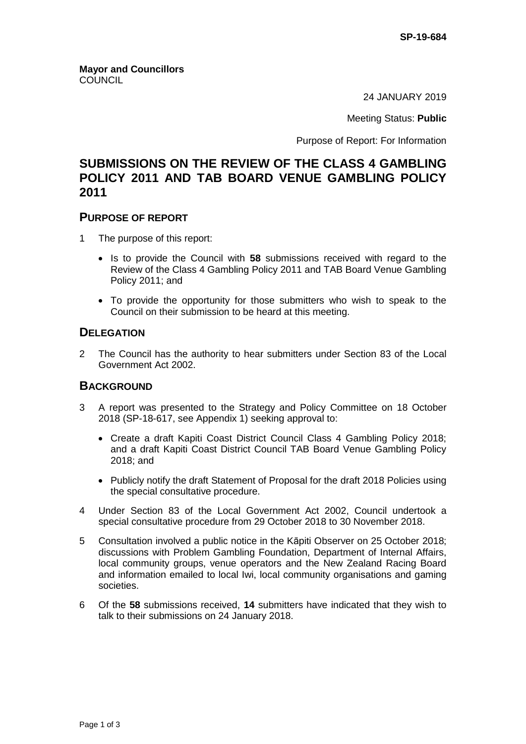24 JANUARY 2019

Meeting Status: **Public**

Purpose of Report: For Information

## **SUBMISSIONS ON THE REVIEW OF THE CLASS 4 GAMBLING POLICY 2011 AND TAB BOARD VENUE GAMBLING POLICY 2011**

#### **PURPOSE OF REPORT**

- 1 The purpose of this report:
	- Is to provide the Council with 58 submissions received with regard to the Review of the Class 4 Gambling Policy 2011 and TAB Board Venue Gambling Policy 2011; and
	- To provide the opportunity for those submitters who wish to speak to the Council on their submission to be heard at this meeting.

#### **DELEGATION**

2 The Council has the authority to hear submitters under Section 83 of the Local Government Act 2002.

## **BACKGROUND**

- 3 A report was presented to the Strategy and Policy Committee on 18 October 2018 (SP-18-617, see Appendix 1) seeking approval to:
	- Create a draft Kapiti Coast District Council Class 4 Gambling Policy 2018; and a draft Kapiti Coast District Council TAB Board Venue Gambling Policy 2018; and
	- Publicly notify the draft Statement of Proposal for the draft 2018 Policies using the special consultative procedure.
- 4 Under Section 83 of the Local Government Act 2002, Council undertook a special consultative procedure from 29 October 2018 to 30 November 2018.
- 5 Consultation involved a public notice in the Kāpiti Observer on 25 October 2018; discussions with Problem Gambling Foundation, Department of Internal Affairs, local community groups, venue operators and the New Zealand Racing Board and information emailed to local Iwi, local community organisations and gaming societies.
- 6 Of the **58** submissions received, **14** submitters have indicated that they wish to talk to their submissions on 24 January 2018.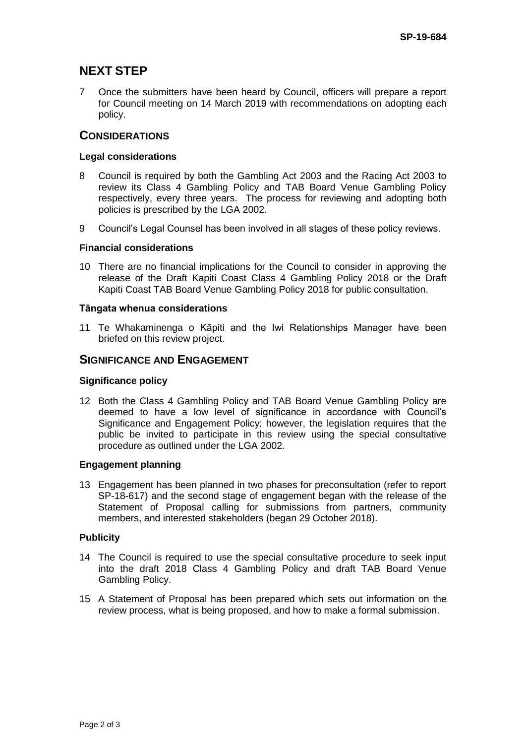# **NEXT STEP**

7 Once the submitters have been heard by Council, officers will prepare a report for Council meeting on 14 March 2019 with recommendations on adopting each policy.

## **CONSIDERATIONS**

#### **Legal considerations**

- 8 Council is required by both the Gambling Act 2003 and the Racing Act 2003 to review its Class 4 Gambling Policy and TAB Board Venue Gambling Policy respectively, every three years. The process for reviewing and adopting both policies is prescribed by the LGA 2002.
- 9 Council's Legal Counsel has been involved in all stages of these policy reviews.

#### **Financial considerations**

10 There are no financial implications for the Council to consider in approving the release of the Draft Kapiti Coast Class 4 Gambling Policy 2018 or the Draft Kapiti Coast TAB Board Venue Gambling Policy 2018 for public consultation.

#### **Tāngata whenua considerations**

11 Te Whakaminenga o Kāpiti and the Iwi Relationships Manager have been briefed on this review project.

## **SIGNIFICANCE AND ENGAGEMENT**

#### **Significance policy**

12 Both the Class 4 Gambling Policy and TAB Board Venue Gambling Policy are deemed to have a low level of significance in accordance with Council's Significance and Engagement Policy; however, the legislation requires that the public be invited to participate in this review using the special consultative procedure as outlined under the LGA 2002.

#### **Engagement planning**

13 Engagement has been planned in two phases for preconsultation (refer to report SP-18-617) and the second stage of engagement began with the release of the Statement of Proposal calling for submissions from partners, community members, and interested stakeholders (began 29 October 2018).

#### **Publicity**

- 14 The Council is required to use the special consultative procedure to seek input into the draft 2018 Class 4 Gambling Policy and draft TAB Board Venue Gambling Policy.
- 15 A Statement of Proposal has been prepared which sets out information on the review process, what is being proposed, and how to make a formal submission.